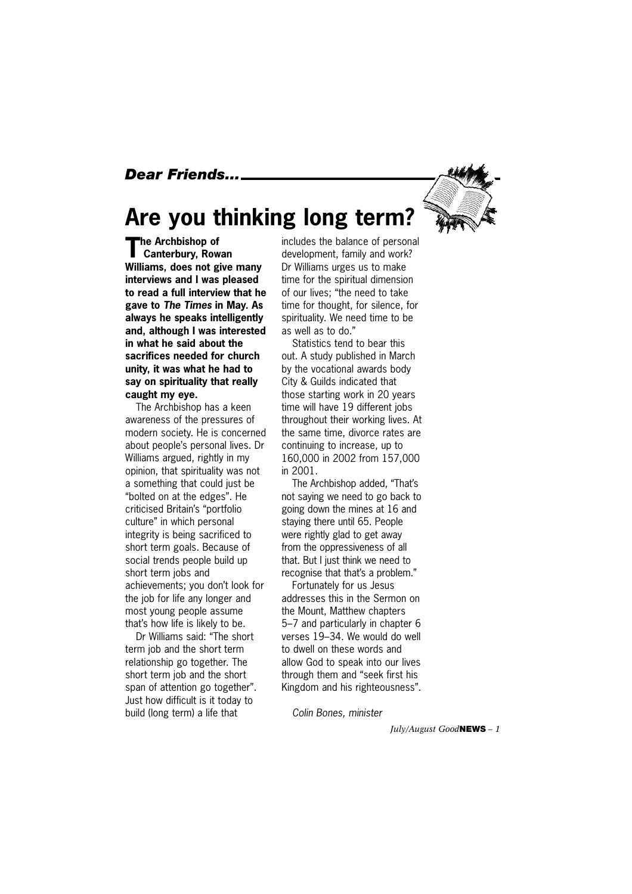#### *Dear Friends...*



### **Are you thinking long term?**

**The Archbishop of Canterbury, Rowan Williams, does not give many interviews and I was pleased to read a full interview that he gave to** *The Times* **in May. As always he speaks intelligently and, although I was interested in what he said about the sacrifices needed for church unity, it was what he had to say on spirituality that really caught my eye.**

The Archbishop has a keen awareness of the pressures of modern society. He is concerned about people's personal lives. Dr Williams argued, rightly in my opinion, that spirituality was not a something that could just be "bolted on at the edges". He criticised Britain's "portfolio culture" in which personal integrity is being sacrificed to short term goals. Because of social trends people build up short term jobs and achievements; you don't look for the job for life any longer and most young people assume that's how life is likely to be.

Dr Williams said: "The short term job and the short term relationship go together. The short term job and the short span of attention go together". Just how difficult is it today to build (long term) a life that

includes the balance of personal development, family and work? Dr Williams urges us to make time for the spiritual dimension of our lives; "the need to take time for thought, for silence, for spirituality. We need time to be as well as to do."

Statistics tend to bear this out. A study published in March by the vocational awards body City & Guilds indicated that those starting work in 20 years time will have 19 different jobs throughout their working lives. At the same time, divorce rates are continuing to increase, up to 160,000 in 2002 from 157,000 in 2001.

The Archbishop added, "That's not saying we need to go back to going down the mines at 16 and staying there until 65. People were rightly glad to get away from the oppressiveness of all that. But I just think we need to recognise that that's a problem."

Fortunately for us Jesus addresses this in the Sermon on the Mount, Matthew chapters 5–7 and particularly in chapter 6 verses 19–34. We would do well to dwell on these words and allow God to speak into our lives through them and "seek first his Kingdom and his righteousness".

*Colin Bones, minister*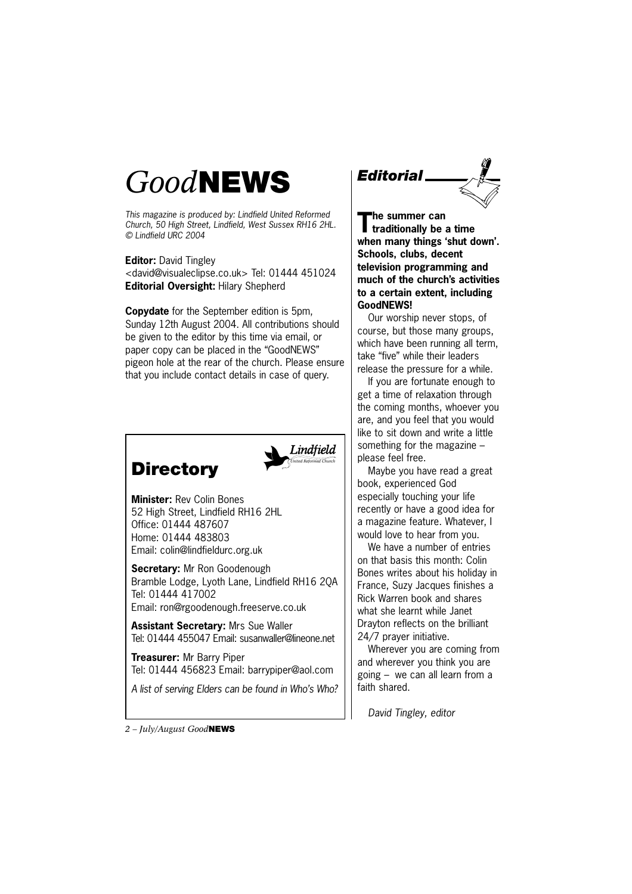## *Good***NEWS**

*This magazine is produced by: Lindfield United Reformed Church, 50 High Street, Lindfield, West Sussex RH16 2HL. © Lindfield URC 2004*

**Editor:** David Tingley <david@visualeclipse.co.uk> Tel: 01444 451024 **Editorial Oversight:** Hilary Shepherd

**Copydate** for the September edition is 5pm, Sunday 12th August 2004. All contributions should be given to the editor by this time via email, or paper copy can be placed in the "GoodNEWS" pigeon hole at the rear of the church. Please ensure that you include contact details in case of query.



**Minister:** Rev Colin Bones 52 High Street, Lindfield RH16 2HL Office: 01444 487607 Home: 01444 483803 Email: colin@lindfieldurc.org.uk

**Directory**

**Secretary:** Mr Ron Goodenough Bramble Lodge, Lyoth Lane, Lindfield RH16 2QA Tel: 01444 417002 Email: ron@rgoodenough.freeserve.co.uk

**Assistant Secretary:** Mrs Sue Waller Tel: 01444 455047 Email: susanwaller@lineone.net

**Treasurer:** Mr Barry Piper Tel: 01444 456823 Email: barrypiper@aol.com

*A list of serving Elders can be found in Who's Who?*



**The summer can traditionally be a time when many things 'shut down'. Schools, clubs, decent television programming and much of the church's activities to a certain extent, including GoodNEWS!**

Our worship never stops, of course, but those many groups, which have been running all term, take "five" while their leaders release the pressure for a while.

If you are fortunate enough to get a time of relaxation through the coming months, whoever you are, and you feel that you would like to sit down and write a little something for the magazine – please feel free.

Maybe you have read a great book, experienced God especially touching your life recently or have a good idea for a magazine feature. Whatever, I would love to hear from you.

We have a number of entries on that basis this month: Colin Bones writes about his holiday in France, Suzy Jacques finishes a Rick Warren book and shares what she learnt while Janet Drayton reflects on the brilliant 24/7 prayer initiative.

Wherever you are coming from and wherever you think you are going – we can all learn from a faith shared.

*David Tingley, editor*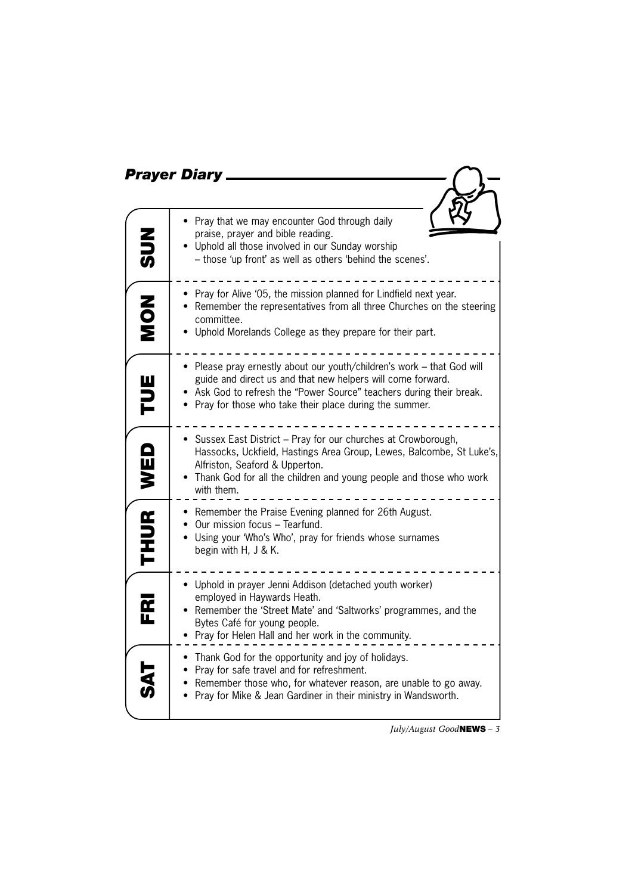|                      | <b>Prayer Diary</b>                                                                                                                                                                                                                                                     |
|----------------------|-------------------------------------------------------------------------------------------------------------------------------------------------------------------------------------------------------------------------------------------------------------------------|
|                      |                                                                                                                                                                                                                                                                         |
| ここの                  | Pray that we may encounter God through daily<br>praise, prayer and bible reading.<br>Uphold all those involved in our Sunday worship<br>- those 'up front' as well as others 'behind the scenes'.                                                                       |
| NON<br>NON           | • Pray for Alive '05, the mission planned for Lindfield next year.<br>• Remember the representatives from all three Churches on the steering<br>committee.<br>• Uphold Morelands College as they prepare for their part.                                                |
| TUE                  | • Please pray ernestly about our youth/children's work - that God will<br>guide and direct us and that new helpers will come forward.<br>Ask God to refresh the "Power Source" teachers during their break.<br>• Pray for those who take their place during the summer. |
| WED                  | • Sussex East District - Pray for our churches at Crowborough,<br>Hassocks, Uckfield, Hastings Area Group, Lewes, Balcombe, St Luke's,<br>Alfriston, Seaford & Upperton.<br>Thank God for all the children and young people and those who work<br>with them.            |
| <b>THUR</b>          | • Remember the Praise Evening planned for 26th August.<br>Our mission focus - Tearfund.<br>Using your 'Who's Who', pray for friends whose surnames<br>begin with H, J & K.                                                                                              |
| $\frac{\alpha}{\mu}$ | • Uphold in prayer Jenni Addison (detached youth worker)<br>employed in Haywards Heath.<br>Remember the 'Street Mate' and 'Saltworks' programmes, and the<br>Bytes Café for young people.<br>Pray for Helen Hall and her work in the community.                         |
|                      | Thank God for the opportunity and joy of holidays.<br>Pray for safe travel and for refreshment.<br>Remember those who, for whatever reason, are unable to go away.<br>Pray for Mike & Jean Gardiner in their ministry in Wandsworth.                                    |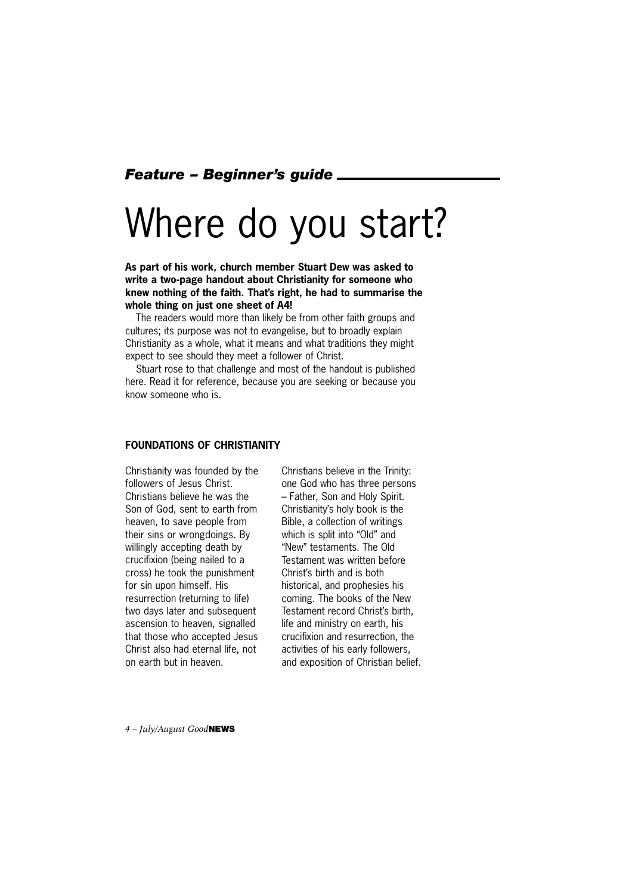#### *Feature – Beginner's guide*

# Where do you start?

**As part of his work, church member Stuart Dew was asked to write a two-page handout about Christianity for someone who knew nothing of the faith. That's right, he had to summarise the whole thing on just one sheet of A4!** 

The readers would more than likely be from other faith groups and cultures; its purpose was not to evangelise, but to broadly explain Christianity as a whole, what it means and what traditions they might expect to see should they meet a follower of Christ.

Stuart rose to that challenge and most of the handout is published here. Read it for reference, because you are seeking or because you know someone who is.

#### **FOUNDATIONS OF CHRISTIANITY**

Christianity was founded by the followers of Jesus Christ. Christians believe he was the Son of God, sent to earth from heaven, to save people from their sins or wrongdoings. By willingly accepting death by crucifixion (being nailed to a cross) he took the punishment for sin upon himself. His resurrection (returning to life) two days later and subsequent ascension to heaven, signalled that those who accepted Jesus Christ also had eternal life, not on earth but in heaven.

Christians believe in the Trinity: one God who has three persons – Father, Son and Holy Spirit. Christianity's holy book is the Bible, a collection of writings which is split into "Old" and "New" testaments. The Old Testament was written before Christ's birth and is both historical, and prophesies his coming. The books of the New Testament record Christ's birth, life and ministry on earth, his crucifixion and resurrection, the activities of his early followers, and exposition of Christian belief.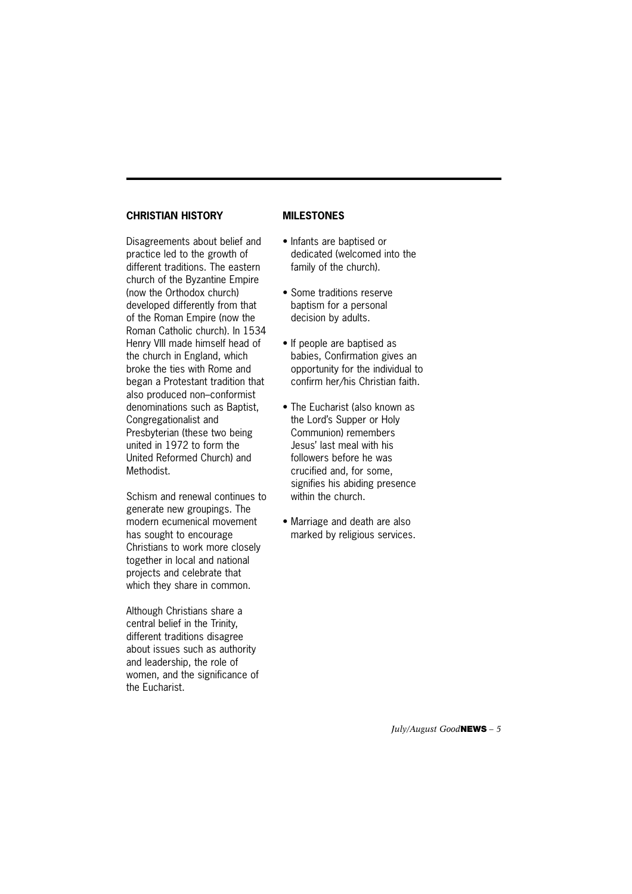#### **CHRISTIAN HISTORY**

Disagreements about belief and practice led to the growth of different traditions. The eastern church of the Byzantine Empire (now the Orthodox church) developed differently from that of the Roman Empire (now the Roman Catholic church). In 1534 Henry VIII made himself head of the church in England, which broke the ties with Rome and began a Protestant tradition that also produced non–conformist denominations such as Baptist, Congregationalist and Presbyterian (these two being united in 1972 to form the United Reformed Church) and Methodist.

Schism and renewal continues to generate new groupings. The modern ecumenical movement has sought to encourage Christians to work more closely together in local and national projects and celebrate that which they share in common.

Although Christians share a central belief in the Trinity, different traditions disagree about issues such as authority and leadership, the role of women, and the significance of the Eucharist.

#### **MILESTONES**

- Infants are baptised or dedicated (welcomed into the family of the church).
- Some traditions reserve baptism for a personal decision by adults.
- If people are baptised as babies, Confirmation gives an opportunity for the individual to confirm her/his Christian faith.
- The Eucharist (also known as the Lord's Supper or Holy Communion) remembers Jesus' last meal with his followers before he was crucified and, for some, signifies his abiding presence within the church.
- Marriage and death are also marked by religious services.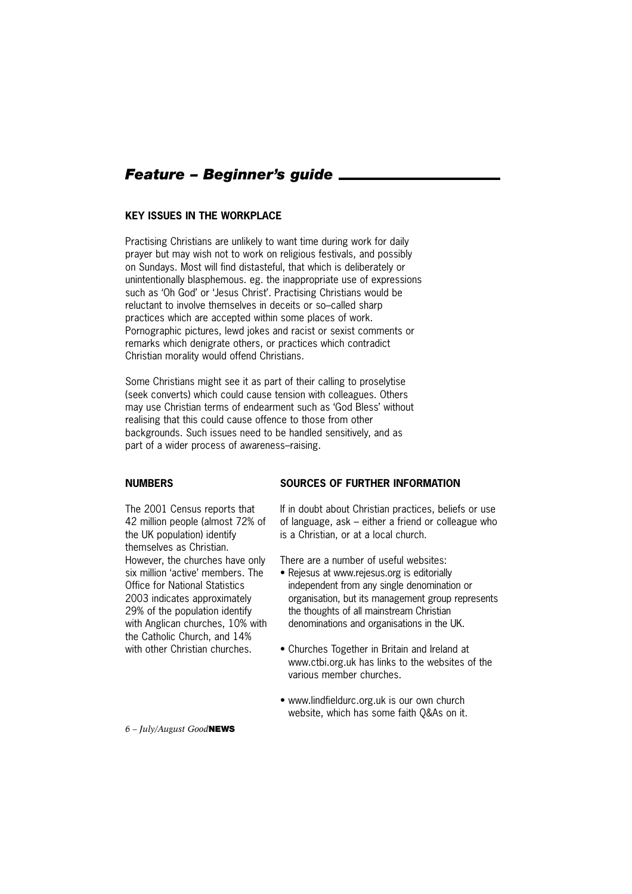#### *Feature – Beginner's guide*

#### **KEY ISSUES IN THE WORKPLACE**

Practising Christians are unlikely to want time during work for daily prayer but may wish not to work on religious festivals, and possibly on Sundays. Most will find distasteful, that which is deliberately or unintentionally blasphemous. eg. the inappropriate use of expressions such as 'Oh God' or 'Jesus Christ'. Practising Christians would be reluctant to involve themselves in deceits or so–called sharp practices which are accepted within some places of work. Pornographic pictures, lewd jokes and racist or sexist comments or remarks which denigrate others, or practices which contradict Christian morality would offend Christians.

Some Christians might see it as part of their calling to proselytise (seek converts) which could cause tension with colleagues. Others may use Christian terms of endearment such as 'God Bless' without realising that this could cause offence to those from other backgrounds. Such issues need to be handled sensitively, and as part of a wider process of awareness–raising.

#### **NUMBERS**

#### **SOURCES OF FURTHER INFORMATION**

The 2001 Census reports that 42 million people (almost 72% of the UK population) identify themselves as Christian. However, the churches have only six million 'active' members. The Office for National Statistics 2003 indicates approximately 29% of the population identify with Anglican churches, 10% with the Catholic Church, and 14% with other Christian churches.

If in doubt about Christian practices, beliefs or use of language, ask – either a friend or colleague who is a Christian, or at a local church.

There are a number of useful websites:

- Rejesus at www.rejesus.org is editorially independent from any single denomination or organisation, but its management group represents the thoughts of all mainstream Christian denominations and organisations in the UK.
- Churches Together in Britain and Ireland at www.ctbi.org.uk has links to the websites of the various member churches.
- www.lindfieldurc.org.uk is our own church website, which has some faith Q&As on it.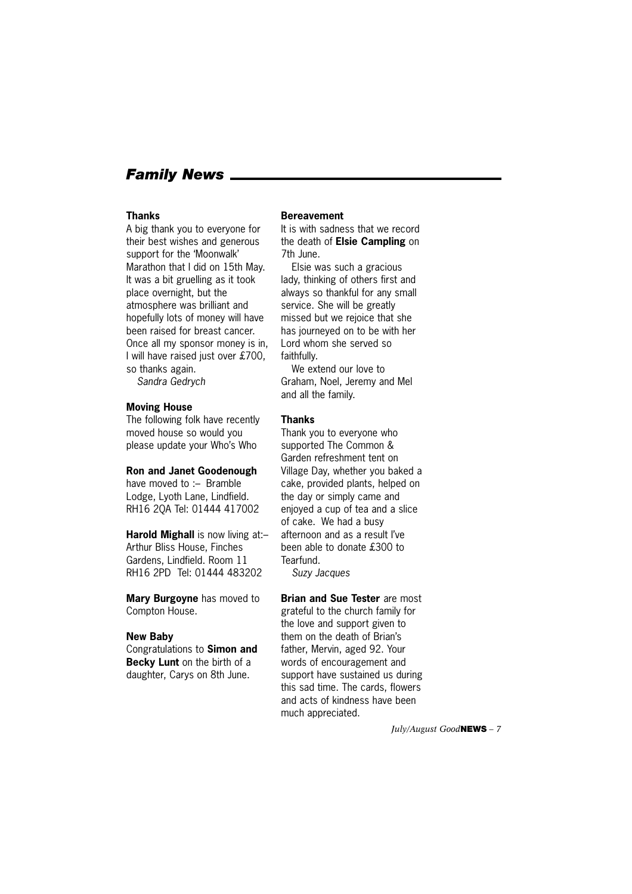#### *Family News*

#### **Thanks**

A big thank you to everyone for their best wishes and generous support for the 'Moonwalk' Marathon that I did on 15th May. It was a bit gruelling as it took place overnight, but the atmosphere was brilliant and hopefully lots of money will have been raised for breast cancer. Once all my sponsor money is in, I will have raised just over £700, so thanks again.

*Sandra Gedrych*

#### **Moving House**

The following folk have recently moved house so would you please update your Who's Who

#### **Ron and Janet Goodenough**

have moved to :- Bramble Lodge, Lyoth Lane, Lindfield. RH16 2QA Tel: 01444 417002

**Harold Mighall** is now living at:– Arthur Bliss House, Finches Gardens, Lindfield. Room 11 RH16 2PD Tel: 01444 483202

**Mary Burgoyne** has moved to Compton House.

#### **New Baby**

Congratulations to **Simon and Becky Lunt** on the birth of a daughter, Carys on 8th June.

#### **Bereavement**

It is with sadness that we record the death of **Elsie Campling** on 7th June.

Elsie was such a gracious lady, thinking of others first and always so thankful for any small service. She will be greatly missed but we rejoice that she has journeyed on to be with her Lord whom she served so faithfully.

We extend our love to Graham, Noel, Jeremy and Mel and all the family.

#### **Thanks**

Thank you to everyone who supported The Common & Garden refreshment tent on Village Day, whether you baked a cake, provided plants, helped on the day or simply came and enjoyed a cup of tea and a slice of cake. We had a busy afternoon and as a result I've been able to donate £300 to Tearfund.

*Suzy Jacques*

**Brian and Sue Tester** are most grateful to the church family for the love and support given to them on the death of Brian's father, Mervin, aged 92. Your words of encouragement and support have sustained us during this sad time. The cards, flowers and acts of kindness have been much appreciated.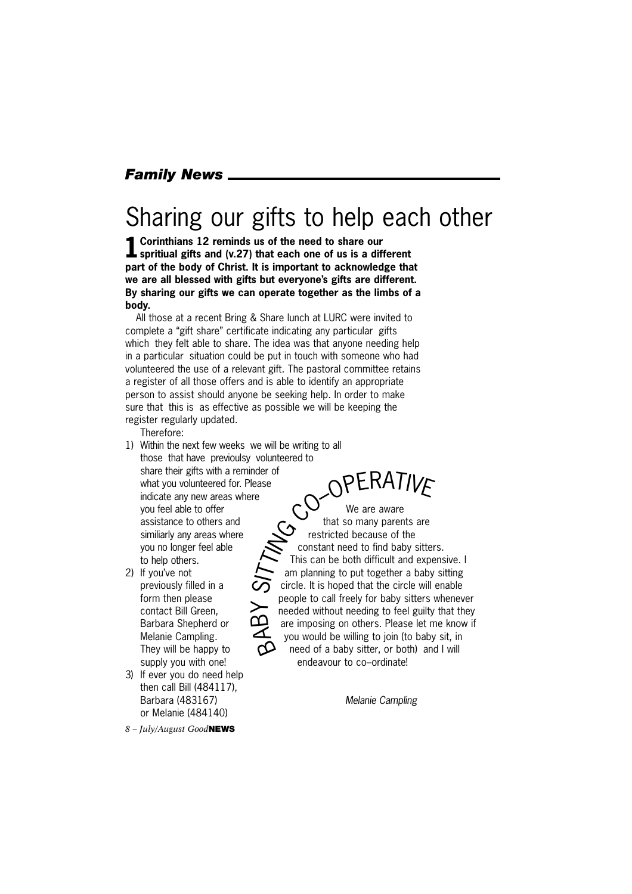#### *Family News*

### Sharing our gifts to help each other

**1Corinthians 12 reminds us of the need to share our spritiual gifts and (v.27) that each one of us is a different part of the body of Christ. It is important to acknowledge that we are all blessed with gifts but everyone's gifts are different. By sharing our gifts we can operate together as the limbs of a body.** 

All those at a recent Bring & Share lunch at LURC were invited to complete a "gift share" certificate indicating any particular gifts which they felt able to share. The idea was that anyone needing help in a particular situation could be put in touch with someone who had volunteered the use of a relevant gift. The pastoral committee retains a register of all those offers and is able to identify an appropriate person to assist should anyone be seeking help. In order to make sure that this is as effective as possible we will be keeping the register regularly updated.

Therefore:

- 1) Within the next few weeks we will be writing to all those that have previoulsy volunteered to share their gifts with a reminder of what you volunteered for. Please indicate any new areas where you feel able to offer assistance to others and similiarly any areas where you no longer feel able to help others.
- 2) If you've not previously filled in a form then please contact Bill Green, Barbara Shepherd or Melanie Campling. They will be happy to supply you with one!
- 3) If ever you do need help then call Bill (484117), Barbara (483167) or Melanie (484140)

*8 – July/August Good***NEWS**

We are aware that so many parents are restricted because of the constant need to find baby sitters. This can be both difficult and expensive. I am planning to put together a baby sitting circle. It is hoped that the circle will enable people to call freely for baby sitters whenever needed without needing to feel guilty that they are imposing on others. Please let me know if you would be willing to join (to baby sit, in need of a baby sitter, or both) and I will endeavour to co–ordinate! BAB  $\succ$ OPERATIVE

*Melanie Campling*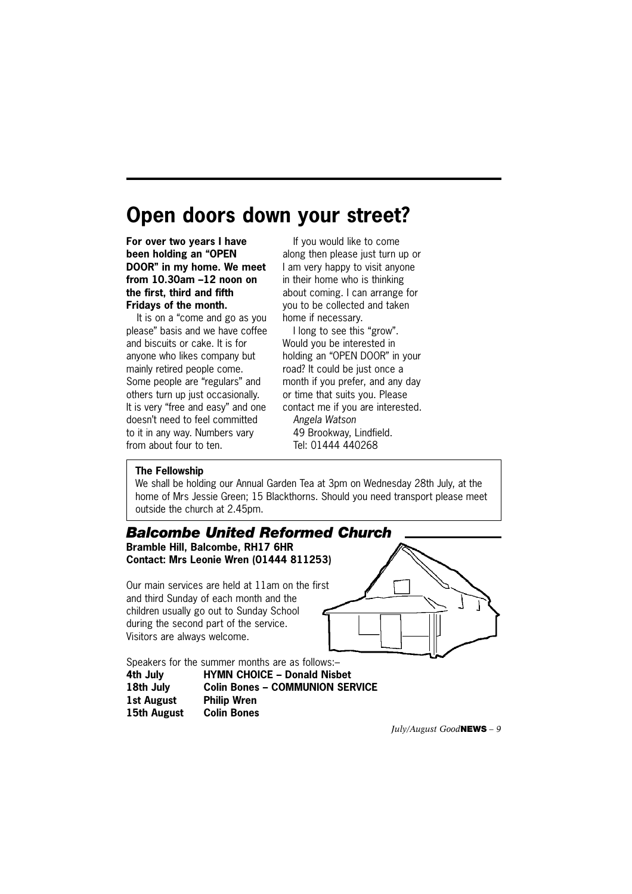### **Open doors down your street?**

**For over two years I have been holding an "OPEN DOOR" in my home. We meet from 10.30am –12 noon on the first, third and fifth Fridays of the month.** 

It is on a "come and go as you please" basis and we have coffee and biscuits or cake. It is for anyone who likes company but mainly retired people come. Some people are "regulars" and others turn up just occasionally. It is very "free and easy" and one doesn't need to feel committed to it in any way. Numbers vary from about four to ten.

If you would like to come along then please just turn up or I am very happy to visit anyone in their home who is thinking about coming. I can arrange for you to be collected and taken home if necessary.

I long to see this "grow". Would you be interested in holding an "OPEN DOOR" in your road? It could be just once a month if you prefer, and any day or time that suits you. Please contact me if you are interested. *Angela Watson* 49 Brookway, Lindfield. Tel: 01444 440268

#### **The Fellowship**

We shall be holding our Annual Garden Tea at 3pm on Wednesday 28th July, at the home of Mrs Jessie Green; 15 Blackthorns. Should you need transport please meet outside the church at 2.45pm.

#### *Balcombe United Reformed Church*

**Bramble Hill, Balcombe, RH17 6HR Contact: Mrs Leonie Wren (01444 811253)**

Our main services are held at 11am on the first and third Sunday of each month and the children usually go out to Sunday School during the second part of the service. Visitors are always welcome.



Speakers for the summer months are as follows:– **4th July HYMN CHOICE – Donald Nisbet**

**18th July Colin Bones – COMMUNION SERVICE 1st August Philip Wren 15th August Colin Bones**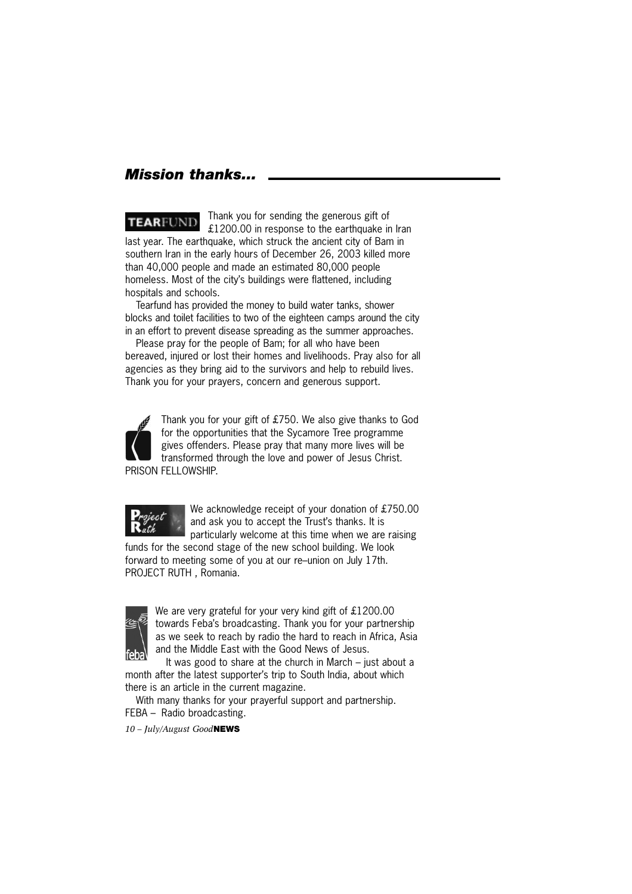#### *Mission thanks...*

Thank you for sending the generous gift of **TEARFUND** £1200.00 in response to the earthquake in Iran last year. The earthquake, which struck the ancient city of Bam in southern Iran in the early hours of December 26, 2003 killed more than 40,000 people and made an estimated 80,000 people homeless. Most of the city's buildings were flattened, including hospitals and schools.

Tearfund has provided the money to build water tanks, shower blocks and toilet facilities to two of the eighteen camps around the city in an effort to prevent disease spreading as the summer approaches.

Please pray for the people of Bam; for all who have been bereaved, injured or lost their homes and livelihoods. Pray also for all agencies as they bring aid to the survivors and help to rebuild lives. Thank you for your prayers, concern and generous support.



Thank you for your gift of £750. We also give thanks to God for the opportunities that the Sycamore Tree programme gives offenders. Please pray that many more lives will be transformed through the love and power of Jesus Christ. PRISON FELLOWSHIP.



We acknowledge receipt of your donation of £750.00 and ask you to accept the Trust's thanks. It is particularly welcome at this time when we are raising

funds for the second stage of the new school building. We look forward to meeting some of you at our re–union on July 17th. PROJECT RUTH , Romania.



We are very grateful for your very kind gift of £1200.00 towards Feba's broadcasting. Thank you for your partnership as we seek to reach by radio the hard to reach in Africa, Asia and the Middle East with the Good News of Jesus.

It was good to share at the church in March – just about a month after the latest supporter's trip to South India, about which there is an article in the current magazine.

With many thanks for your prayerful support and partnership. FEBA – Radio broadcasting.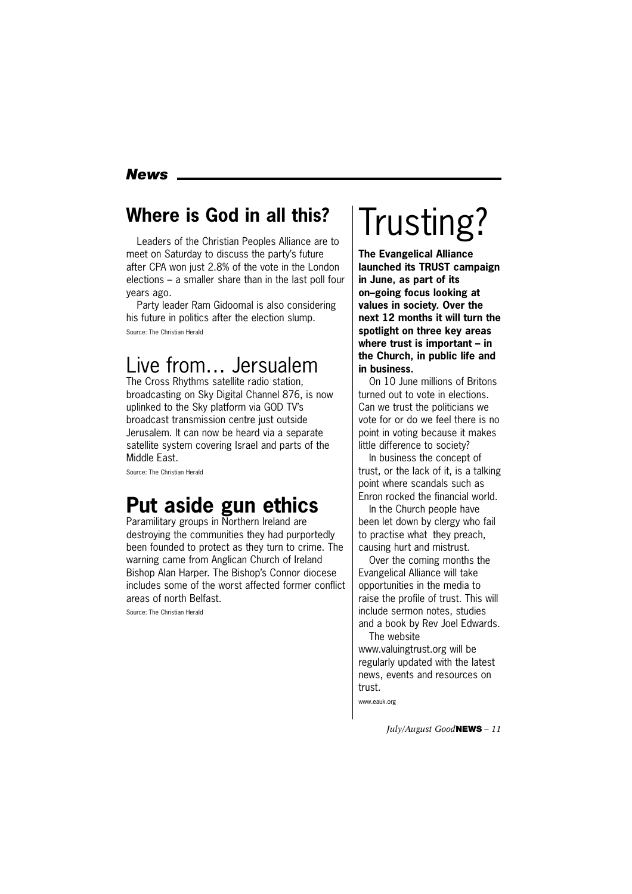#### *News*

#### **Where is God in all this?**

Leaders of the Christian Peoples Alliance are to meet on Saturday to discuss the party's future after CPA won just 2.8% of the vote in the London elections – a smaller share than in the last poll four years ago.

Party leader Ram Gidoomal is also considering his future in politics after the election slump. Source: The Christian Herald

### Live from… Jersualem

The Cross Rhythms satellite radio station, broadcasting on Sky Digital Channel 876, is now uplinked to the Sky platform via GOD TV's broadcast transmission centre just outside Jerusalem. It can now be heard via a separate satellite system covering Israel and parts of the Middle East.

Source: The Christian Herald

### **Put aside gun ethics**

Paramilitary groups in Northern Ireland are destroying the communities they had purportedly been founded to protect as they turn to crime. The warning came from Anglican Church of Ireland Bishop Alan Harper. The Bishop's Connor diocese includes some of the worst affected former conflict areas of north Belfast.

Source: The Christian Herald

# Trusting?

**The Evangelical Alliance launched its TRUST campaign in June, as part of its on–going focus looking at values in society. Over the next 12 months it will turn the spotlight on three key areas where trust is important – in the Church, in public life and in business.**

On 10 June millions of Britons turned out to vote in elections. Can we trust the politicians we vote for or do we feel there is no point in voting because it makes little difference to society?

In business the concept of trust, or the lack of it, is a talking point where scandals such as Enron rocked the financial world.

In the Church people have been let down by clergy who fail to practise what they preach, causing hurt and mistrust.

Over the coming months the Evangelical Alliance will take opportunities in the media to raise the profile of trust. This will include sermon notes, studies and a book by Rev Joel Edwards. The website

www.valuingtrust.org will be regularly updated with the latest news, events and resources on trust.

www.eauk.org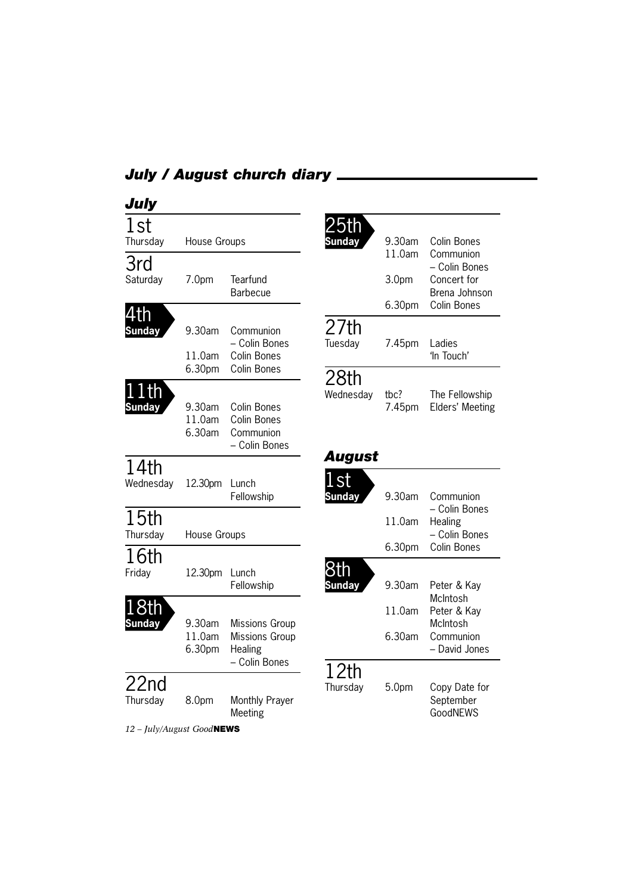### *July / August church diary*

| July                                                 |                                      |                                                           |                                                          |                           |                                                                           |
|------------------------------------------------------|--------------------------------------|-----------------------------------------------------------|----------------------------------------------------------|---------------------------|---------------------------------------------------------------------------|
| 1st<br>Thursday                                      | House Groups                         |                                                           | 25th<br>Sunday                                           | 9.30am                    | Colin Bones                                                               |
| 3rd<br>Saturday                                      | 7.0 <sub>pm</sub>                    | Tearfund<br><b>Barbecue</b>                               |                                                          | 11.0am<br>3.0pm<br>6.30pm | Communion<br>- Colin Bones<br>Concert for<br>Brena Johnson<br>Colin Bones |
| th<br><b>Sunday</b>                                  | 9.30am<br>11.0am                     | Communion<br>- Colin Bones<br>Colin Bones<br>Colin Bones  | 27th<br>Tuesday                                          | 7.45pm                    | Ladies<br>'In Touch'                                                      |
| 1th<br><b>Sunday</b>                                 | 6.30pm<br>9.30am<br>11.0am<br>6.30am | Colin Bones<br>Colin Bones<br>Communion<br>- Colin Bones  | 28th<br>Wednesday                                        | tbc?<br>7.45pm            | The Fellowship<br>Elders' Meeting                                         |
| 14th<br>Wednesday                                    | 12.30pm                              | Lunch<br>Fellowship                                       | August<br>.st<br><b>Sunday</b>                           | 9.30am                    | Communion                                                                 |
| 15 <sub>th</sub><br>Thursday                         | 11.0am<br>House Groups<br>6.30pm     |                                                           | - Colin Bones<br>Healing<br>- Colin Bones<br>Colin Bones |                           |                                                                           |
| 16th<br>Friday                                       | 12.30pm                              | Lunch<br>Fellowship                                       | 3th<br>Sunday                                            | 9.30am                    | Peter & Kay                                                               |
| <u>18th</u><br><b>Sunday</b>                         | 9.30am<br>11.0am<br>6.30pm           | <b>Missions Group</b><br><b>Missions Group</b><br>Healing |                                                          | 11.0am<br>6.30am          | McIntosh<br>Peter & Kay<br>McIntosh<br>Communion<br>- David Jones         |
| 22 <sub>nd</sub><br>Thursday<br>$10 \quad L.L. / A.$ | 8.0pm                                | - Colin Bones<br>Monthly Prayer<br>Meeting                | 12th<br>Thursday                                         | 5.0 <sub>pm</sub>         | Copy Date for<br>September<br>GoodNEWS                                    |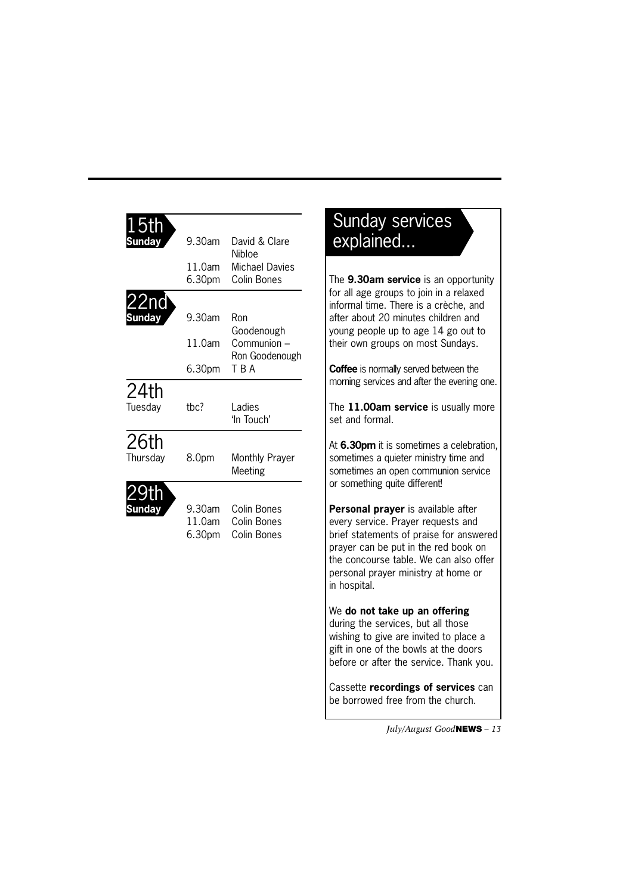| Sunday           | 9.30am                     | David & Clare<br><b>Nibloe</b>                   |
|------------------|----------------------------|--------------------------------------------------|
|                  | 11.0am<br>6.30pm           | <b>Michael Davies</b><br>Colin Bones             |
| 22nd             |                            |                                                  |
| <b>unday</b>     | 9.30am                     | Ron<br>Goodenough                                |
|                  | 11.0am                     | Communion -<br>Ron Goodenough                    |
|                  | 6.30pm                     | T B A                                            |
| 24th<br>Tuesday  | thc?                       | Ladies<br>'In Touch'                             |
| 26th<br>Thursday | 8.0pm                      | Monthly Prayer<br>Meeting                        |
|                  | 9.30am<br>11.0am<br>6.30pm | Colin Bones<br><b>Colin Bones</b><br>Colin Bones |

### Sunday services explained...

The **9.30am service** is an opportunity for all age groups to join in a relaxed informal time. There is a crèche, and after about 20 minutes children and young people up to age 14 go out to their own groups on most Sundays.

**Coffee** is normally served between the morning services and after the evening one.

The **11.00am service** is usually more set and formal.

At **6.30pm** it is sometimes a celebration, sometimes a quieter ministry time and sometimes an open communion service or something quite different!

**Personal prayer** is available after every service. Prayer requests and brief statements of praise for answered prayer can be put in the red book on the concourse table. We can also offer personal prayer ministry at home or in hospital.

#### We **do not take up an offering**

during the services, but all those wishing to give are invited to place a gift in one of the bowls at the doors before or after the service. Thank you.

Cassette **recordings of services** can be borrowed free from the church.

*July/August Good***NEWS** *– 13*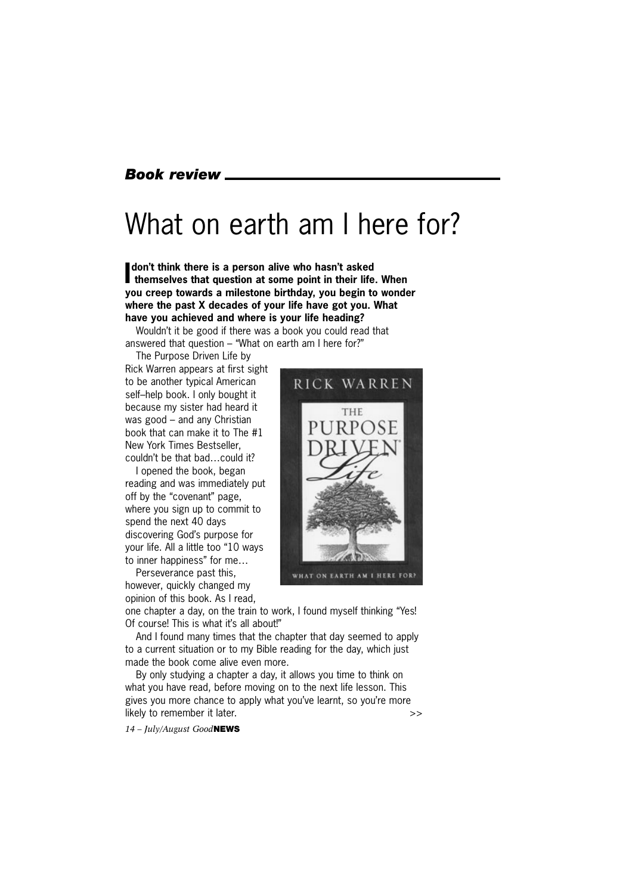#### *Book review*

### What on earth am I here for?

**I** don't think there is a person alive who hasn't asked<br>themselves that question at some point in their life. When **don't think there is a person alive who hasn't asked you creep towards a milestone birthday, you begin to wonder where the past X decades of your life have got you. What have you achieved and where is your life heading?**

Wouldn't it be good if there was a book you could read that answered that question – "What on earth am I here for?"

The Purpose Driven Life by Rick Warren appears at first sight to be another typical American self–help book. I only bought it because my sister had heard it

was good – and any Christian book that can make it to The #1 New York Times Bestseller, couldn't be that bad…could it?

I opened the book, began reading and was immediately put off by the "covenant" page, where you sign up to commit to spend the next 40 days discovering God's purpose for your life. All a little too "10 ways to inner happiness" for me…

Perseverance past this,

however, quickly changed my opinion of this book. As I read,



one chapter a day, on the train to work, I found myself thinking "Yes! Of course! This is what it's all about!"

And I found many times that the chapter that day seemed to apply to a current situation or to my Bible reading for the day, which just made the book come alive even more.

By only studying a chapter a day, it allows you time to think on what you have read, before moving on to the next life lesson. This gives you more chance to apply what you've learnt, so you're more likely to remember it later.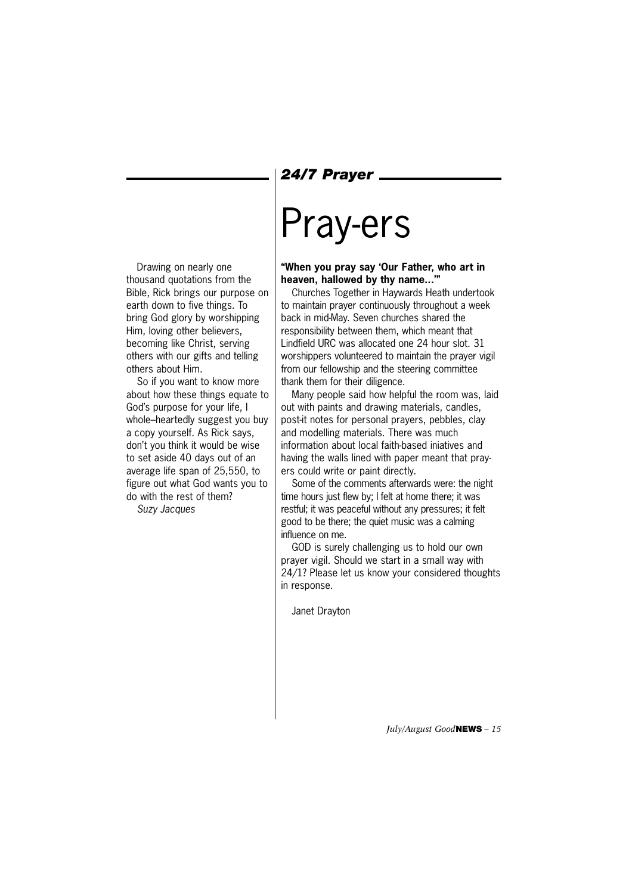#### *24/7 Prayer*

# Pray-ers

**"When you pray say 'Our Father, who art in heaven, hallowed by thy name...'"**

Churches Together in Haywards Heath undertook to maintain prayer continuously throughout a week back in mid-May. Seven churches shared the responsibility between them, which meant that Lindfield URC was allocated one 24 hour slot. 31 worshippers volunteered to maintain the prayer vigil from our fellowship and the steering committee thank them for their diligence.

Many people said how helpful the room was, laid out with paints and drawing materials, candles, post-it notes for personal prayers, pebbles, clay and modelling materials. There was much information about local faith-based iniatives and having the walls lined with paper meant that prayers could write or paint directly.

Some of the comments afterwards were: the night time hours just flew by; I felt at home there; it was restful; it was peaceful without any pressures; it felt good to be there; the quiet music was a calming influence on me.

GOD is surely challenging us to hold our own prayer vigil. Should we start in a small way with 24/1? Please let us know your considered thoughts in response.

Janet Drayton

Drawing on nearly one thousand quotations from the Bible, Rick brings our purpose on earth down to five things. To bring God glory by worshipping Him, loving other believers, becoming like Christ, serving others with our gifts and telling others about Him.

So if you want to know more about how these things equate to God's purpose for your life, I whole–heartedly suggest you buy a copy yourself. As Rick says, don't you think it would be wise to set aside 40 days out of an average life span of 25,550, to figure out what God wants you to do with the rest of them?

*Suzy Jacques*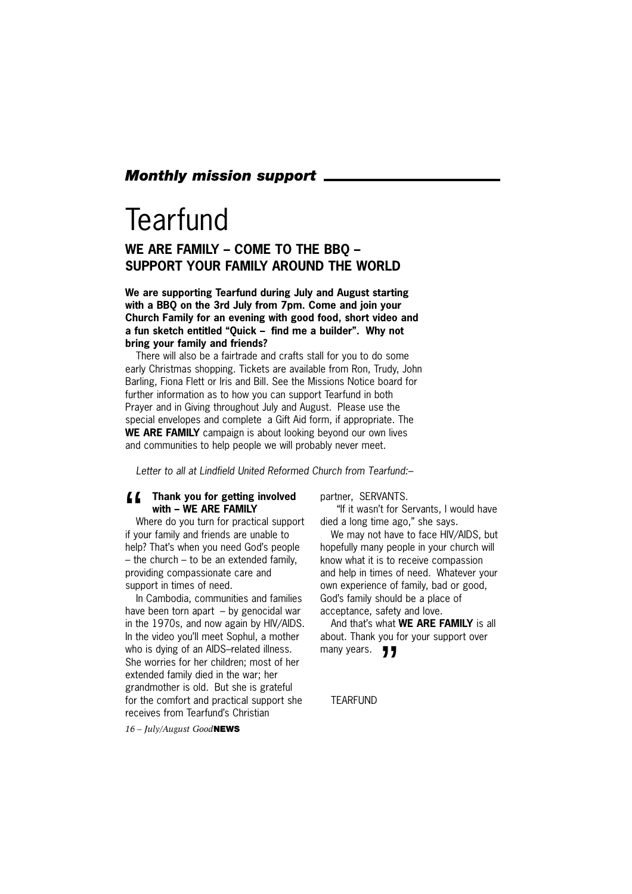#### *Monthly mission support*

### **Tearfund**

#### **WE ARE FAMILY – COME TO THE BBQ – SUPPORT YOUR FAMILY AROUND THE WORLD**

**We are supporting Tearfund during July and August starting with a BBQ on the 3rd July from 7pm. Come and join your Church Family for an evening with good food, short video and a fun sketch entitled "Quick – find me a builder". Why not bring your family and friends?**

There will also be a fairtrade and crafts stall for you to do some early Christmas shopping. Tickets are available from Ron, Trudy, John Barling, Fiona Flett or Iris and Bill. See the Missions Notice board for further information as to how you can support Tearfund in both Prayer and in Giving throughout July and August. Please use the special envelopes and complete a Gift Aid form, if appropriate. The **WE ARE FAMILY** campaign is about looking beyond our own lives and communities to help people we will probably never meet.

*Letter to all at Lindfield United Reformed Church from Tearfund:–*

### **f f** Thank you for getting involved<br>with – WE ARE FAMILY<br>Where do you turn for practical supportive vour family and friends are unable to **with – WE ARE FAMILY**

Where do you turn for practical support if your family and friends are unable to help? That's when you need God's people – the church – to be an extended family, providing compassionate care and support in times of need.

In Cambodia, communities and families have been torn apart – by genocidal war in the 1970s, and now again by HIV/AIDS. In the video you'll meet Sophul, a mother who is dying of an AIDS–related illness. She worries for her children; most of her extended family died in the war; her grandmother is old. But she is grateful for the comfort and practical support she receives from Tearfund's Christian

partner, SERVANTS.

"If it wasn't for Servants, I would have died a long time ago," she says.

We may not have to face HIV/AIDS, but hopefully many people in your church will know what it is to receive compassion and help in times of need. Whatever your own experience of family, bad or good, God's family should be a place of acceptance, safety and love.

And that's what **WE ARE FAMILY** is all about. Thank you for your support over many years. **JJ** 

TEARFUND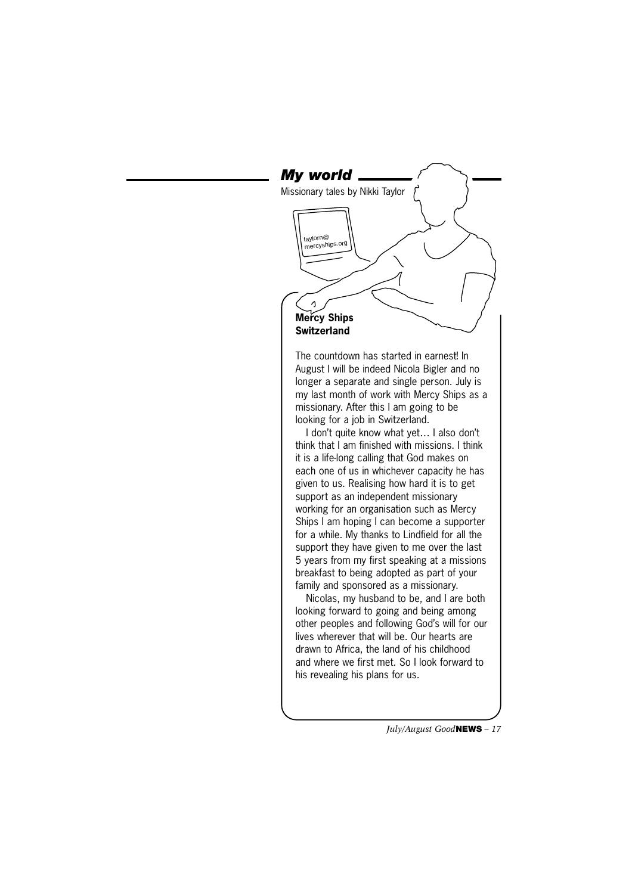#### *My world* Missionary tales by Nikki Taylortaylorn@ mercyships.org  $\Delta$ **Mercy Ships Switzerland** The countdown has started in earnest! In August I will be indeed Nicola Bigler and no longer a separate and single person. July is my last month of work with Mercy Ships as a missionary. After this I am going to be looking for a job in Switzerland. I don't quite know what yet… I also don't think that I am finished with missions. I think it is a life-long calling that God makes on each one of us in whichever capacity he has given to us. Realising how hard it is to get support as an independent missionary working for an organisation such as Mercy Ships I am hoping I can become a supporter for a while. My thanks to Lindfield for all the support they have given to me over the last 5 years from my first speaking at a missions breakfast to being adopted as part of your family and sponsored as a missionary. Nicolas, my husband to be, and I are both looking forward to going and being among other peoples and following God's will for our

lives wherever that will be. Our hearts are drawn to Africa, the land of his childhood and where we first met. So I look forward to his revealing his plans for us.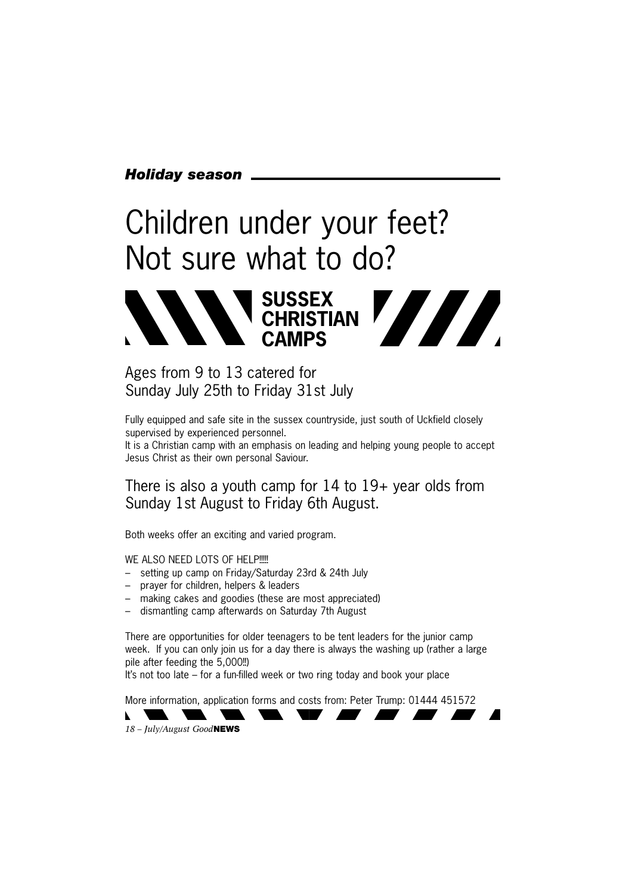#### *Holiday season*

# Children under your feet? Not sure what to do?



#### Ages from 9 to 13 catered for Sunday July 25th to Friday 31st July

Fully equipped and safe site in the sussex countryside, just south of Uckfield closely supervised by experienced personnel.

It is a Christian camp with an emphasis on leading and helping young people to accept Jesus Christ as their own personal Saviour.

There is also a youth camp for 14 to 19+ year olds from Sunday 1st August to Friday 6th August.

Both weeks offer an exciting and varied program.

WE ALSO NEED LOTS OF HELP!!!!

- setting up camp on Friday/Saturday 23rd & 24th July
- prayer for children, helpers & leaders
- making cakes and goodies (these are most appreciated)
- dismantling camp afterwards on Saturday 7th August

There are opportunities for older teenagers to be tent leaders for the junior camp week. If you can only join us for a day there is always the washing up (rather a large pile after feeding the 5,000!!)

It's not too late – for a fun-filled week or two ring today and book your place

More information, application forms and costs from: Peter Trump: 01444 451572

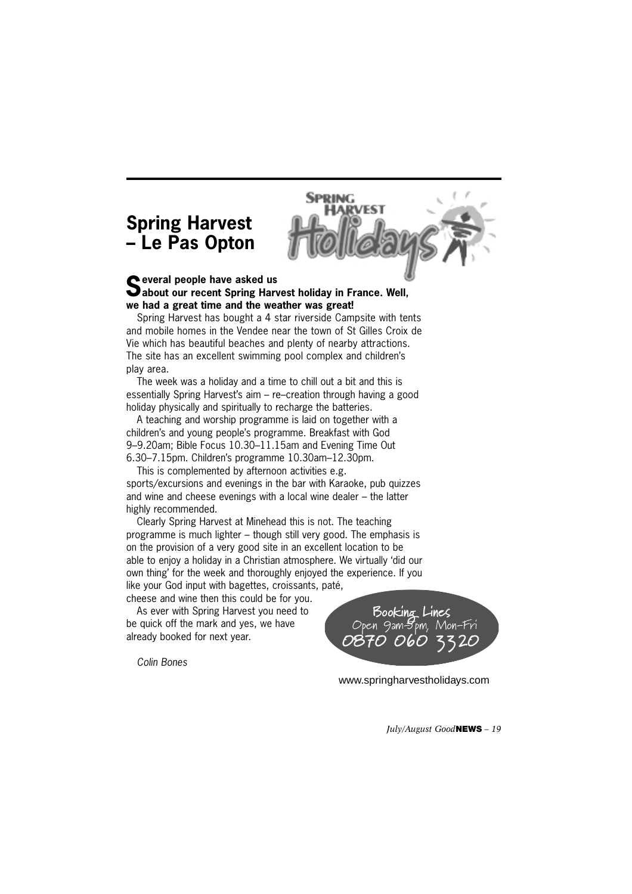#### **Spring Harvest – Le Pas Opton**



#### **Several people have asked us about our recent Spring Harvest holiday in France. Well, we had a great time and the weather was great!**

Spring Harvest has bought a 4 star riverside Campsite with tents and mobile homes in the Vendee near the town of St Gilles Croix de Vie which has beautiful beaches and plenty of nearby attractions. The site has an excellent swimming pool complex and children's play area.

The week was a holiday and a time to chill out a bit and this is essentially Spring Harvest's aim – re–creation through having a good holiday physically and spiritually to recharge the batteries.

A teaching and worship programme is laid on together with a children's and young people's programme. Breakfast with God 9–9.20am; Bible Focus 10.30–11.15am and Evening Time Out 6.30–7.15pm. Children's programme 10.30am–12.30pm.

This is complemented by afternoon activities e.g. sports/excursions and evenings in the bar with Karaoke, pub quizzes and wine and cheese evenings with a local wine dealer – the latter highly recommended.

Clearly Spring Harvest at Minehead this is not. The teaching programme is much lighter – though still very good. The emphasis is on the provision of a very good site in an excellent location to be able to enjoy a holiday in a Christian atmosphere. We virtually 'did our own thing' for the week and thoroughly enjoyed the experience. If you like your God input with bagettes, croissants, paté,

cheese and wine then this could be for you. As ever with Spring Harvest you need to

be quick off the mark and yes, we have already booked for next year.

*Colin Bones*



www.springharvestholidays.com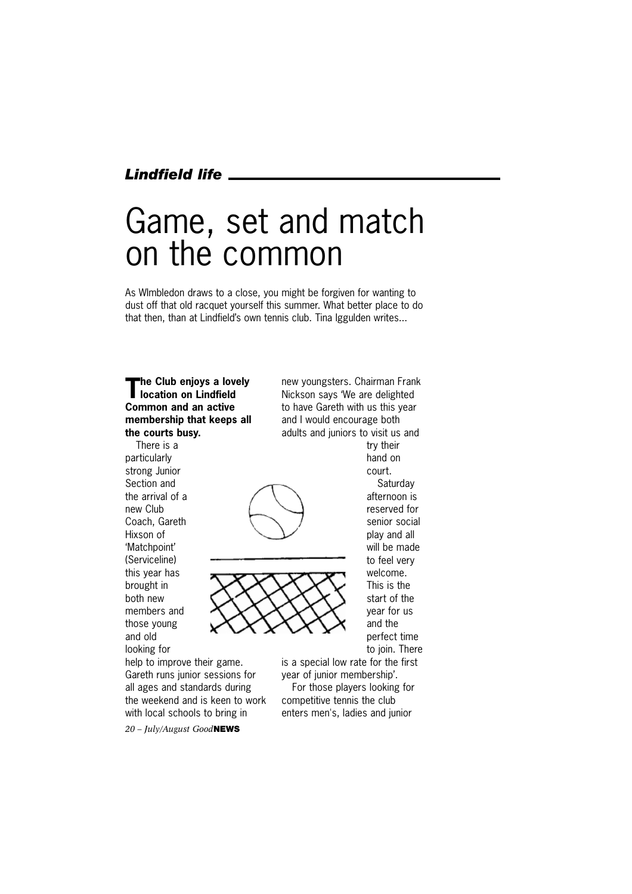#### *Lindfield life*

# Game, set and match on the common

As WImbledon draws to a close, you might be forgiven for wanting to dust off that old racquet yourself this summer. What better place to do that then, than at Lindfield's own tennis club. Tina Iggulden writes...

#### **The Club enjoys a lovely location on Lindfield Common and an active membership that keeps all the courts busy.**

There is a particularly strong Junior Section and the arrival of a new Club Coach, Gareth Hixson of 'Matchpoint' (Serviceline) this year has brought in both new members and those young and old looking for

new youngsters. Chairman Frank Nickson says 'We are delighted to have Gareth with us this year and I would encourage both adults and juniors to visit us and try their





hand on court. **Saturday** afternoon is reserved for senior social play and all will be made to feel very welcome. This is the start of the year for us and the perfect time to join. There is a special low rate for the first

help to improve their game. Gareth runs junior sessions for all ages and standards during the weekend and is keen to work with local schools to bring in

year of junior membership'. For those players looking for competitive tennis the club enters men's, ladies and junior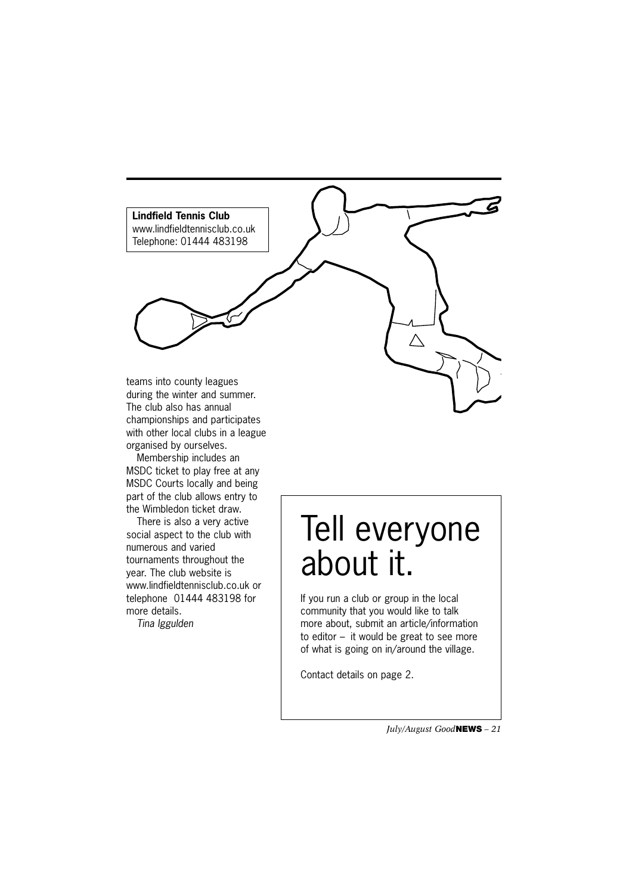

championships and participates with other local clubs in a league organised by ourselves.

Membership includes an MSDC ticket to play free at any MSDC Courts locally and being part of the club allows entry to the Wimbledon ticket draw.

There is also a very active social aspect to the club with numerous and varied tournaments throughout the year. The club website is www.lindfieldtennisclub.co.uk or telephone 01444 483198 for more details.

*Tina Iggulden*

# Tell everyone about it.

If you run a club or group in the local community that you would like to talk more about, submit an article/information to editor – it would be great to see more of what is going on in/around the village.

Contact details on page 2.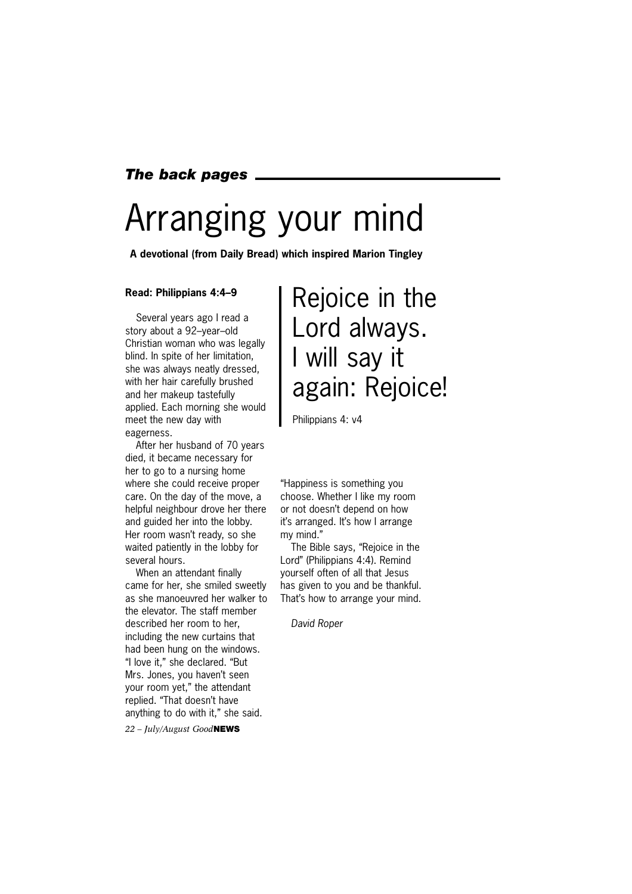#### *The back pages*

# Arranging your mind

**A devotional (from Daily Bread) which inspired Marion Tingley**

#### **Read: Philippians 4:4–9**

Several years ago I read a story about a 92–year–old Christian woman who was legally blind. In spite of her limitation, she was always neatly dressed, with her hair carefully brushed and her makeup tastefully applied. Each morning she would meet the new day with eagerness.

After her husband of 70 years died, it became necessary for her to go to a nursing home where she could receive proper care. On the day of the move, a helpful neighbour drove her there and guided her into the lobby. Her room wasn't ready, so she waited patiently in the lobby for several hours.

When an attendant finally came for her, she smiled sweetly as she manoeuvred her walker to the elevator. The staff member described her room to her, including the new curtains that had been hung on the windows. "I love it," she declared. "But Mrs. Jones, you haven't seen your room yet," the attendant replied. "That doesn't have anything to do with it," she said.

*22 – July/August Good***NEWS**

### Rejoice in the Lord always. I will say it again: Rejoice!

Philippians 4: v4

"Happiness is something you choose. Whether I like my room or not doesn't depend on how it's arranged. It's how I arrange my mind."

The Bible says, "Rejoice in the Lord" (Philippians 4:4). Remind yourself often of all that Jesus has given to you and be thankful. That's how to arrange your mind.

*David Roper*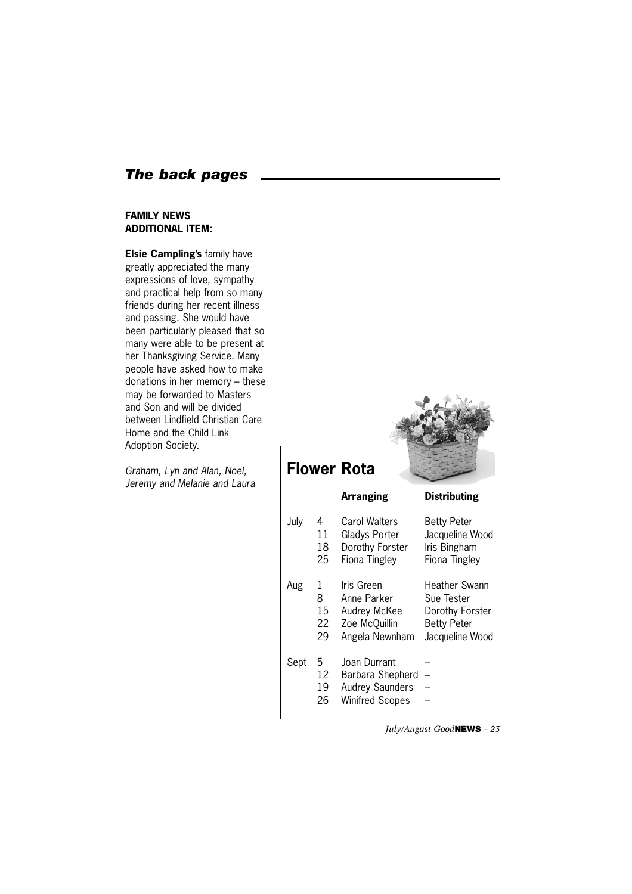#### *The back pages*

#### **FAMILY NEWS ADDITIONAL ITEM:**

**Elsie Campling's** family have greatly appreciated the many expressions of love, sympathy and practical help from so many friends during her recent illness and passing. She would have been particularly pleased that so many were able to be present at her Thanksgiving Service. Many people have asked how to make donations in her memory – these may be forwarded to Masters and Son and will be divided between Lindfield Christian Care Home and the Child Link Adoption Society.

*Graham, Lyn and Alan, Noel, Jeremy and Melanie and Laura*

|      |                          | <b>Flower Rota</b>                                                                   |                                                                                                |
|------|--------------------------|--------------------------------------------------------------------------------------|------------------------------------------------------------------------------------------------|
|      |                          | <b>Arranging</b>                                                                     | <b>Distributing</b>                                                                            |
| July | 4<br>11<br>18<br>25      | <b>Carol Walters</b><br>Gladys Porter<br>Dorothy Forster<br>Fiona Tingley            | <b>Betty Peter</b><br>Jacqueline Wood<br>Iris Bingham<br>Fiona Tingley                         |
| Aug  | 1<br>8<br>15<br>22<br>29 | Iris Green<br>Anne Parker<br>Audrey McKee<br>Zoe McQuillin<br>Angela Newnham         | <b>Heather Swann</b><br>Sue Tester<br>Dorothy Forster<br><b>Betty Peter</b><br>Jacqueline Wood |
| Sept | 5.<br>12<br>19<br>26     | Joan Durrant<br>Barbara Shepherd<br><b>Audrey Saunders</b><br><b>Winifred Scopes</b> |                                                                                                |